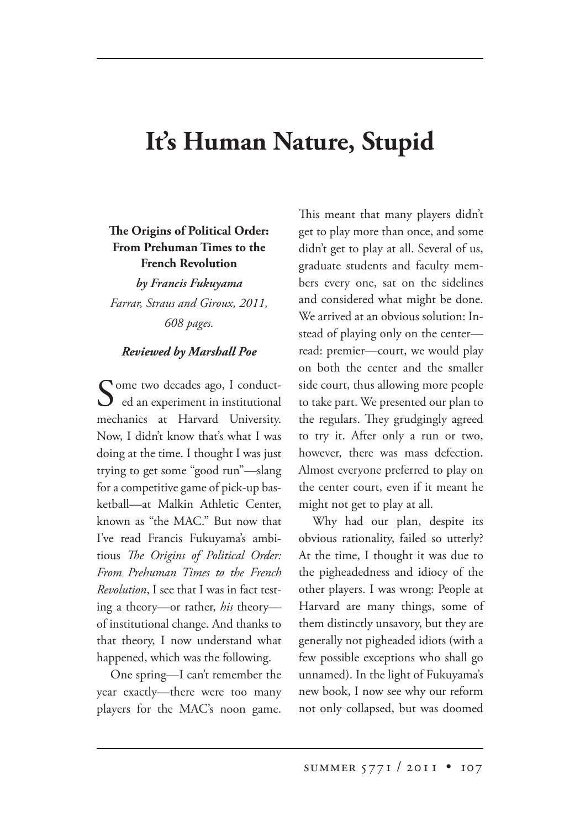## **It's Human Nature, Stupid**

## **e Origins of Political Order: From Prehuman Times to the French Revolution**

*by Francis Fukuyama Farrar, Straus and Giroux, 2011, 608 pages.*

## *Reviewed by Marshall Poe*

Some two decades ago, I conduct-<br>ed an experiment in institutional mechanics at Harvard University. Now, I didn't know that's what I was doing at the time. I thought I was just trying to get some "good run"—slang for a competitive game of pick-up basketball—at Malkin Athletic Center, known as "the MAC." But now that I've read Francis Fukuyama's ambitious *The Origins of Political Order: From Prehuman Times to the French Revolution*, I see that I was in fact testing a theory—or rather, *his* theory of institutional change. And thanks to that theory, I now understand what happened, which was the following.

One spring—I can't remember the year exactly—there were too many players for the MAC's noon game. This meant that many players didn't get to play more than once, and some didn't get to play at all. Several of us, graduate students and faculty members every one, sat on the sidelines and considered what might be done. We arrived at an obvious solution: Instead of playing only on the center read: premier—court, we would play on both the center and the smaller side court, thus allowing more people to take part. We presented our plan to the regulars. They grudgingly agreed to try it. After only a run or two, however, there was mass defection. Almost everyone preferred to play on the center court, even if it meant he might not get to play at all.

Why had our plan, despite its obvious rationality, failed so utterly? At the time, I thought it was due to the pigheadedness and idiocy of the other players. I was wrong: People at Harvard are many things, some of them distinctly unsavory, but they are generally not pigheaded idiots (with a few possible exceptions who shall go unnamed). In the light of Fukuyama's new book, I now see why our reform not only collapsed, but was doomed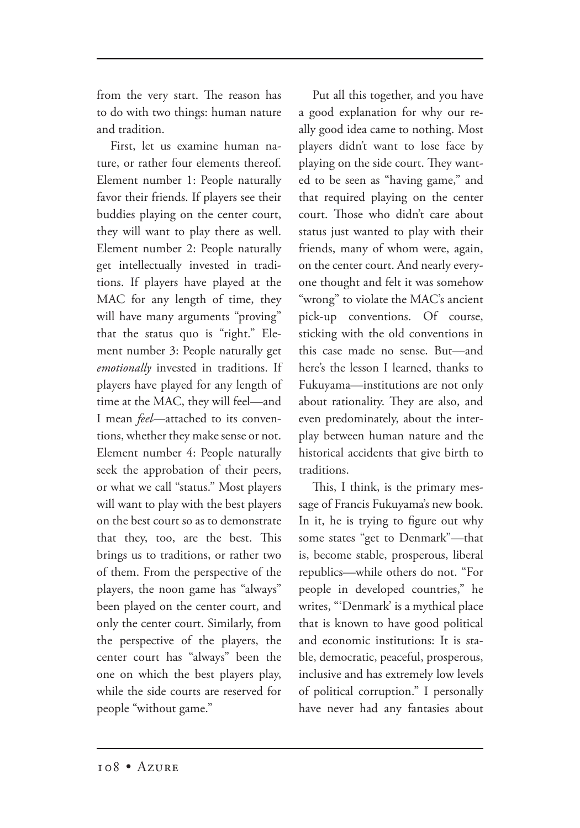from the very start. The reason has to do with two things: human nature and tradition.

First, let us examine human nature, or rather four elements thereof. Element number 1: People naturally favor their friends. If players see their buddies playing on the center court, they will want to play there as well. Element number 2: People naturally get intellectually invested in traditions. If players have played at the MAC for any length of time, they will have many arguments "proving" that the status quo is "right." Element number 3: People naturally get *emotionally* invested in traditions. If players have played for any length of time at the MAC, they will feel—and I mean *feel*—attached to its conventions, whether they make sense or not. Element number 4: People naturally seek the approbation of their peers, or what we call "status." Most players will want to play with the best players on the best court so as to demonstrate that they, too, are the best. This brings us to traditions, or rather two of them. From the perspective of the players, the noon game has "always" been played on the center court, and only the center court. Similarly, from the perspective of the players, the center court has "always" been the one on which the best players play, while the side courts are reserved for people "without game."

Put all this together, and you have a good explanation for why our really good idea came to nothing. Most players didn't want to lose face by playing on the side court. They wanted to be seen as "having game," and that required playing on the center court. Those who didn't care about status just wanted to play with their friends, many of whom were, again, on the center court. And nearly everyone thought and felt it was somehow "wrong" to violate the MAC's ancient pick-up conventions. Of course, sticking with the old conventions in this case made no sense. But—and here's the lesson I learned, thanks to Fukuyama—institutions are not only about rationality. They are also, and even predominately, about the interplay between human nature and the historical accidents that give birth to traditions.

This, I think, is the primary message of Francis Fukuyama's new book. In it, he is trying to figure out why some states "get to Denmark"—that is, become stable, prosperous, liberal republics—while others do not. "For people in developed countries," he writes, "'Denmark' is a mythical place that is known to have good political and economic institutions: It is stable, democratic, peaceful, prosperous, inclusive and has extremely low levels of political corruption." I personally have never had any fantasies about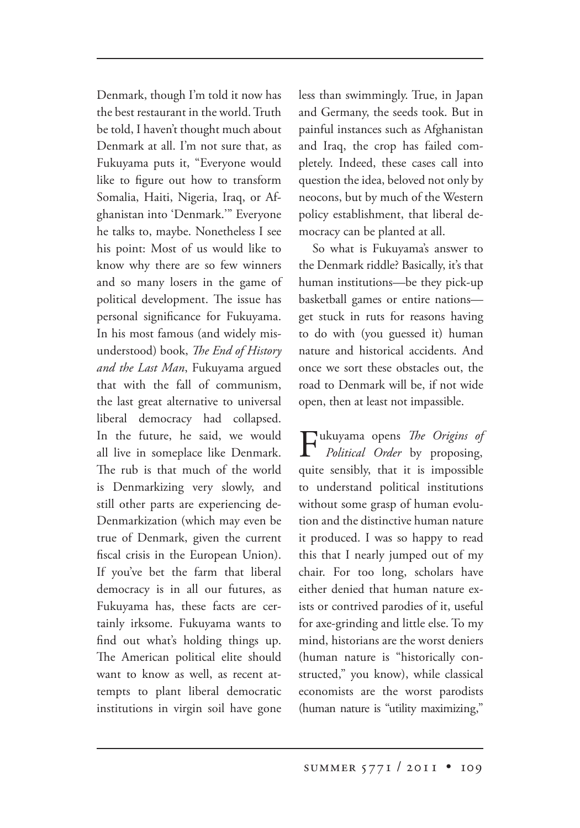Denmark, though I'm told it now has the best restaurant in the world. Truth be told, I haven't thought much about Denmark at all. I'm not sure that, as Fukuyama puts it, "Everyone would like to figure out how to transform Somalia, Haiti, Nigeria, Iraq, or Afghanistan into 'Denmark.'" Everyone he talks to, maybe. Nonetheless I see his point: Most of us would like to know why there are so few winners and so many losers in the game of political development. The issue has personal significance for Fukuyama. In his most famous (and widely misunderstood) book, *The End of History and the Last Man*, Fukuyama argued that with the fall of communism, the last great alternative to universal liberal democracy had collapsed. In the future, he said, we would all live in someplace like Denmark. The rub is that much of the world is Denmarkizing very slowly, and still other parts are experiencing de-Denmarkization (which may even be true of Denmark, given the current fiscal crisis in the European Union). If you've bet the farm that liberal democracy is in all our futures, as Fukuyama has, these facts are certainly irksome. Fukuyama wants to find out what's holding things up. The American political elite should want to know as well, as recent attempts to plant liberal democratic institutions in virgin soil have gone

less than swimmingly. True, in Japan and Germany, the seeds took. But in painful instances such as Afghanistan and Iraq, the crop has failed completely. Indeed, these cases call into question the idea, beloved not only by neocons, but by much of the Western policy establishment, that liberal democracy can be planted at all.

So what is Fukuyama's answer to the Denmark riddle? Basically, it's that human institutions—be they pick-up basketball games or entire nations get stuck in ruts for reasons having to do with (you guessed it) human nature and historical accidents. And once we sort these obstacles out, the road to Denmark will be, if not wide open, then at least not impassible.

 $\sum$ ukuyama opens *The Origins of Political Order Order* by proposing, quite sensibly, that it is impossible to understand political institutions without some grasp of human evolution and the distinctive human nature it produced. I was so happy to read this that I nearly jumped out of my chair. For too long, scholars have either denied that human nature exists or contrived parodies of it, useful for axe-grinding and little else. To my mind, historians are the worst deniers (human nature is "historically constructed," you know), while classical economists are the worst parodists (human nature is "utility maximizing,"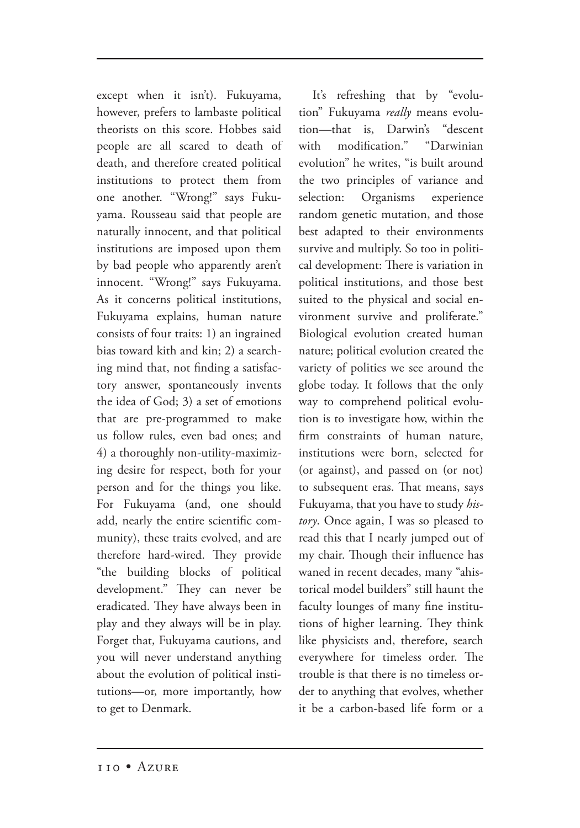except when it isn't). Fukuyama, however, prefers to lambaste political theorists on this score. Hobbes said people are all scared to death of death, and therefore created political institutions to protect them from one another. "Wrong!" says Fukuyama. Rousseau said that people are naturally innocent, and that political institutions are imposed upon them by bad people who apparently aren't innocent. "Wrong!" says Fukuyama. As it concerns political institutions, Fukuyama explains, human nature consists of four traits: 1) an ingrained bias toward kith and kin; 2) a searching mind that, not finding a satisfactory answer, spontaneously invents the idea of God; 3) a set of emotions that are pre-programmed to make us follow rules, even bad ones; and 4) a thoroughly non-utility-maximizing desire for respect, both for your person and for the things you like. For Fukuyama (and, one should add, nearly the entire scientific community), these traits evolved, and are therefore hard-wired. They provide "the building blocks of political development." They can never be eradicated. They have always been in play and they always will be in play. Forget that, Fukuyama cautions, and you will never understand anything about the evolution of political institutions—or, more importantly, how to get to Denmark.

It's refreshing that by "evolution" Fukuyama really means evolution—that is, Darwin's "descent with modification." "Darwinian evolution" he writes, "is built around the two principles of variance and selection: Organisms experience random genetic mutation, and those best adapted to their environments survive and multiply. So too in political development: There is variation in political institutions, and those best suited to the physical and social environment survive and proliferate." Biological evolution created human nature; political evolution created the variety of polities we see around the globe today. It follows that the only way to comprehend political evolution is to investigate how, within the firm constraints of human nature, institutions were born, selected for (or against), and passed on (or not) to subsequent eras. That means, says Fukuyama, that you have to study *history*. Once again, I was so pleased to read this that I nearly jumped out of my chair. Though their influence has waned in recent decades, many "ahistorical model builders" still haunt the faculty lounges of many fine institutions of higher learning. They think like physicists and, therefore, search everywhere for timeless order. The trouble is that there is no timeless order to anything that evolves, whether it be a carbon-based life form or a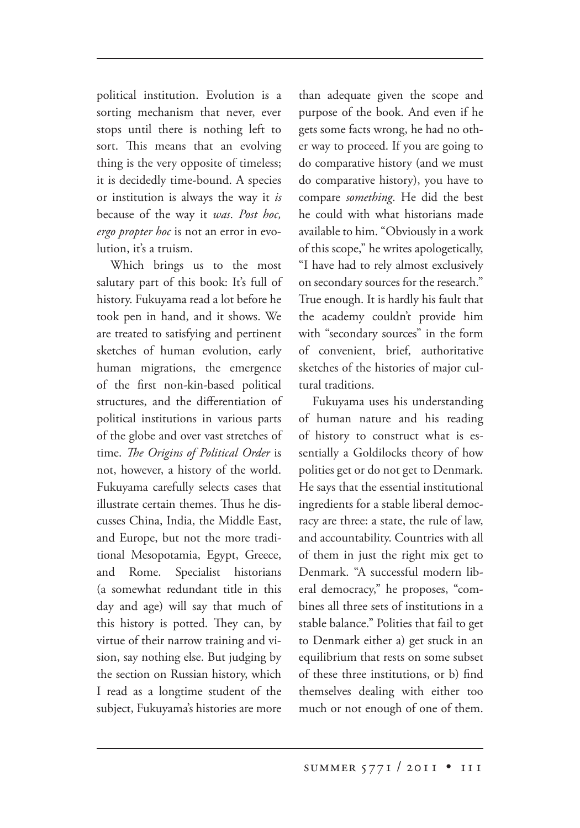political institution. Evolution is a sorting mechanism that never, ever stops until there is nothing left to sort. This means that an evolving thing is the very opposite of timeless; it is decidedly time-bound. A species or institution is always the way it *is* because of the way it *was*. *Post hoc, ergo propter hod* is not an error in evolution, it's a truism.

Which brings us to the most salutary part of this book: It's full of history. Fukuyama read a lot before he took pen in hand, and it shows. We are treated to satisfying and pertinent sketches of human evolution, early human migrations, the emergence of the first non-kin-based political structures, and the differentiation of political institutions in various parts of the globe and over vast stretches of time. The Origins of Political Order is not, however, a history of the world. Fukuyama carefully selects cases that illustrate certain themes. Thus he discusses China, India, the Middle East, and Europe, but not the more traditional Mesopotamia, Egypt, Greece, and Rome. Specialist historians (a somewhat redundant title in this day and age) will say that much of this history is potted. They can, by virtue of their narrow training and vision, say nothing else. But judging by the section on Russian history, which I read as a longtime student of the subject, Fukuyama's histories are more

than adequate given the scope and purpose of the book. And even if he gets some facts wrong, he had no other way to proceed. If you are going to do comparative history (and we must do comparative history), you have to compare *something*. He did the best he could with what historians made available to him. "Obviously in a work of this scope," he writes apologetically, "I have had to rely almost exclusively on secondary sources for the research." True enough. It is hardly his fault that the academy couldn't provide him with "secondary sources" in the form of convenient, brief, authoritative sketches of the histories of major cultural traditions.

Fukuyama uses his understanding of human nature and his reading of history to construct what is essentially a Goldilocks theory of how polities get or do not get to Denmark. He says that the essential institutional ingredients for a stable liberal democracy are three: a state, the rule of law, and accountability. Countries with all of them in just the right mix get to Denmark. "A successful modern liberal democracy," he proposes, "combines all three sets of institutions in a stable balance." Polities that fail to get to Denmark either a) get stuck in an equilibrium that rests on some subset of these three institutions, or b) find themselves dealing with either too much or not enough of one of them.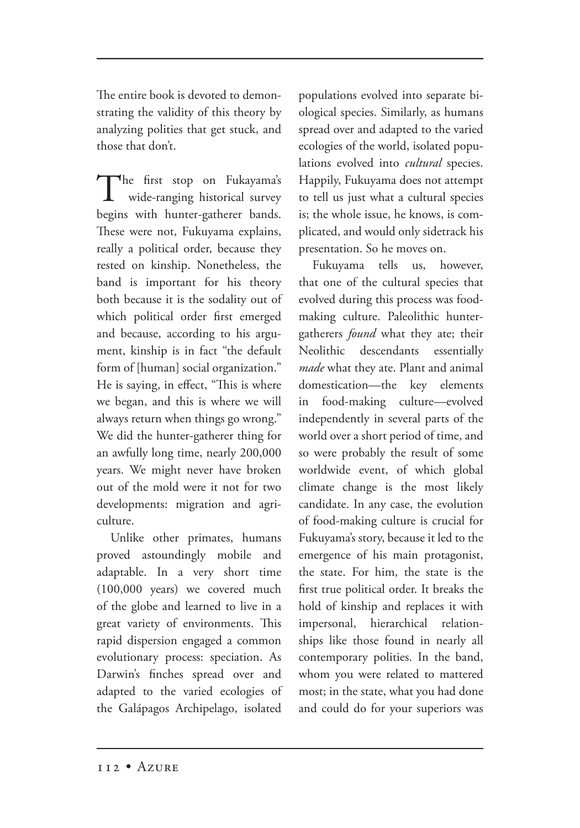The entire book is devoted to demonstrating the validity of this theory by analyzing polities that get stuck, and those that don't.

The first stop on Fukayama's wide-ranging historical survey begins with hunter-gatherer bands. These were not, Fukuyama explains, really a political order, because they rested on kinship. Nonetheless, the band is important for his theory both because it is the sodality out of which political order first emerged and because, according to his argument, kinship is in fact "the default form of [human] social organization." He is saying, in effect, "This is where we began, and this is where we will always return when things go wrong." We did the hunter-gatherer thing for an awfully long time, nearly 200,000 years. We might never have broken out of the mold were it not for two developments: migration and agriculture.

Unlike other primates, humans proved astoundingly mobile and adaptable. In a very short time (100,000 years) we covered much of the globe and learned to live in a great variety of environments. This rapid dispersion engaged a common evolutionary process: speciation. As Darwin's finches spread over and adapted to the varied ecologies of the Galápagos Archipelago, isolated

populations evolved into separate biological species. Similarly, as humans spread over and adapted to the varied ecologies of the world, isolated populations evolved into *cultural* species. Happily, Fukuyama does not attempt to tell us just what a cultural species is; the whole issue, he knows, is complicated, and would only sidetrack his presentation. So he moves on.

Fukuyama tells us, however, that one of the cultural species that evolved during this process was foodmaking culture. Paleolithic huntergatherers *found* what they ate; their Neolithic descendants essentially *made* what they ate. Plant and animal domestication—the key elements in food-making culture—evolved independently in several parts of the world over a short period of time, and so were probably the result of some worldwide event, of which global climate change is the most likely candidate. In any case, the evolution of food-making culture is crucial for Fukuyama's story, because it led to the emergence of his main protagonist, the state. For him, the state is the first true political order. It breaks the hold of kinship and replaces it with impersonal, hierarchical relationships like those found in nearly all contemporary polities. In the band, whom you were related to mattered most; in the state, what you had done and could do for your superiors was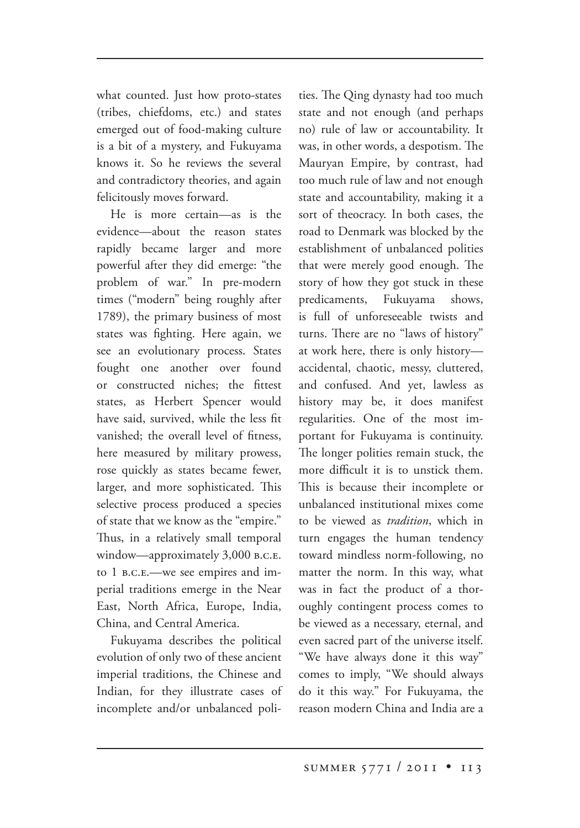what counted. Just how proto-states (tribes, chiefdoms, etc.) and states emerged out of food-making culture is a bit of a mystery, and Fukuyama knows it. So he reviews the several and contradictory theories, and again felicitously moves forward.

He is more certain—as is the evidence—about the reason states rapidly became larger and more powerful after they did emerge: "the problem of war." In pre-modern times ("modern" being roughly after 1789), the primary business of most states was fighting. Here again, we see an evolutionary process. States fought one another over found or constructed niches; the fittest states, as Herbert Spencer would have said, survived, while the less fit vanished; the overall level of fitness, here measured by military prowess, rose quickly as states became fewer, larger, and more sophisticated. This selective process produced a species of state that we know as the "empire." Thus, in a relatively small temporal window—approximately 3,000 B.C.E. to 1 B.C.E.—we see empires and imperial traditions emerge in the Near East, North Africa, Europe, India, China, and Central America.

Fukuyama describes the political evolution of only two of these ancient imperial traditions, the Chinese and Indian, for they illustrate cases of incomplete and/or unbalanced polities. The Qing dynasty had too much state and not enough (and perhaps no) rule of law or accountability. It was, in other words, a despotism. The Mauryan Empire, by contrast, had too much rule of law and not enough state and accountability, making it a sort of theocracy. In both cases, the road to Denmark was blocked by the establishment of unbalanced polities that were merely good enough. The story of how they got stuck in these predicaments, Fukuyama shows, is full of unforeseeable twists and turns. There are no "laws of history" at work here, there is only history accidental, chaotic, messy, cluttered, and confused. And yet, lawless as history may be, it does manifest regularities. One of the most important for Fukuyama is continuity. The longer polities remain stuck, the more difficult it is to unstick them. This is because their incomplete or unbalanced institutional mixes come to be viewed as *tradition*, which in turn engages the human tendency toward mindless norm-following, no matter the norm. In this way, what was in fact the product of a thoroughly contingent process comes to be viewed as a necessary, eternal, and even sacred part of the universe itself. "We have always done it this way" comes to imply, "We should always do it this way." For Fukuyama, the reason modern China and India are a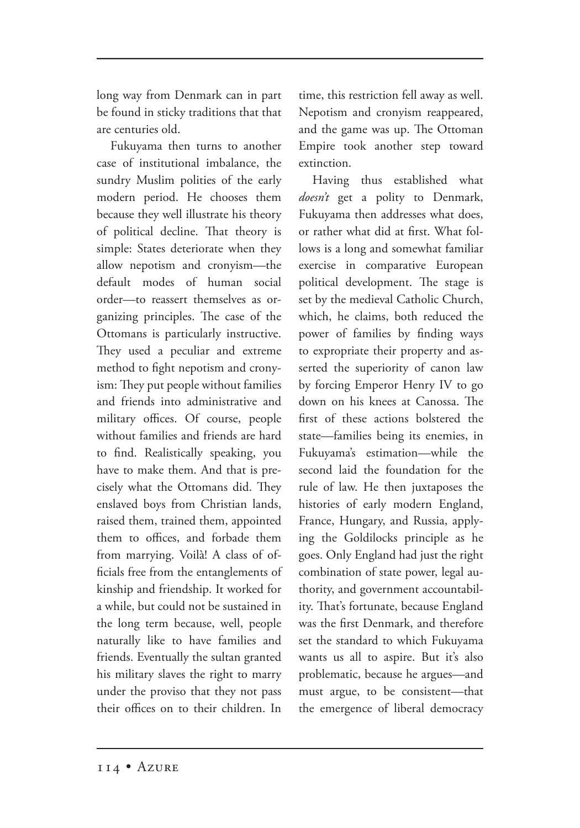long way from Denmark can in part be found in sticky traditions that that are centuries old.

Fukuyama then turns to another case of institutional imbalance, the sundry Muslim polities of the early modern period. He chooses them because they well illustrate his theory of political decline. That theory is simple: States deteriorate when they allow nepotism and cronyism—the default modes of human social order—to reassert themselves as organizing principles. The case of the Ottomans is particularly instructive. They used a peculiar and extreme method to fight nepotism and cronyism: They put people without families and friends into administrative and military offices. Of course, people without families and friends are hard to find. Realistically speaking, you have to make them. And that is precisely what the Ottomans did. They enslaved boys from Christian lands, raised them, trained them, appointed them to offices, and forbade them from marrying. Voilà! A class of officials free from the entanglements of kinship and friendship. It worked for a while, but could not be sustained in the long term because, well, people naturally like to have families and friends. Eventually the sultan granted his military slaves the right to marry under the proviso that they not pass their offices on to their children. In

time, this restriction fell away as well. Nepotism and cronyism reappeared, and the game was up. The Ottoman Empire took another step toward extinction.

Having thus established what *doesn't* get a polity to Denmark, Fukuyama then addresses what does, or rather what did at first. What follows is a long and somewhat familiar exercise in comparative European political development. The stage is set by the medieval Catholic Church, which, he claims, both reduced the power of families by finding ways to expropriate their property and asserted the superiority of canon law by forcing Emperor Henry IV to go down on his knees at Canossa. The first of these actions bolstered the state—families being its enemies, in Fukuyama's estimation—while the second laid the foundation for the rule of law. He then juxtaposes the histories of early modern England, France, Hungary, and Russia, applying the Goldilocks principle as he goes. Only England had just the right combination of state power, legal authority, and government accountability. That's fortunate, because England was the first Denmark, and therefore set the standard to which Fukuyama wants us all to aspire. But it's also problematic, because he argues—and must argue, to be consistent—that the emergence of liberal democracy